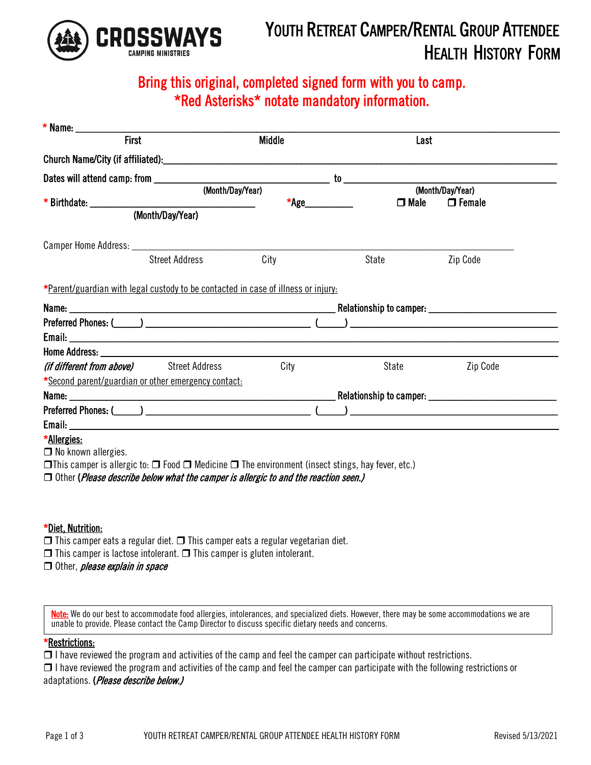

# ROSSWAYS YOUTH RETREAT CAMPER/RENTAL GROUP ATTENDEE HEALTH HISTORY FORM

# Bring this original, completed signed form with you to camp. \*Red Asterisks\* notate mandatory information.

| <b>First</b>                                                                                               | Middle           | Last                                                    |                  |
|------------------------------------------------------------------------------------------------------------|------------------|---------------------------------------------------------|------------------|
|                                                                                                            |                  |                                                         |                  |
|                                                                                                            |                  |                                                         |                  |
|                                                                                                            | (Month/Day/Year) |                                                         | (Month/Day/Year) |
| (Month/Day/Year)                                                                                           | $*$ Age          | $\Box$ Male                                             | $\Box$ Female    |
|                                                                                                            |                  |                                                         |                  |
|                                                                                                            |                  |                                                         |                  |
| <b>Street Address</b><br>*Parent/guardian with legal custody to be contacted in case of illness or injury. | City             | State                                                   | Zip Code         |
|                                                                                                            |                  | Relationship to camper: _______________________________ |                  |
|                                                                                                            |                  |                                                         |                  |
| (if different from above) Street Address                                                                   | City             | State                                                   | Zip Code         |
| *Second parent/guardian or other emergency contact:                                                        |                  |                                                         |                  |
|                                                                                                            |                  |                                                         |                  |
|                                                                                                            |                  |                                                         |                  |

 $\Box$ This camper is allergic to:  $\Box$  Food  $\Box$  Medicine  $\Box$  The environment (insect stings, hay fever, etc.)

 $\Box$  Other (*Please describe below what the camper is allergic to and the reaction seen.)* 

#### \*Diet, Nutrition:

 $\Box$  This camper eats a regular diet.  $\Box$  This camper eats a regular vegetarian diet.

 $\Box$  This camper is lactose intolerant.  $\Box$  This camper is gluten intolerant.

 $\Box$  Other, *please explain in space* 

Note: We do our best to accommodate food allergies, intolerances, and specialized diets. However, there may be some accommodations we are unable to provide. Please contact the Camp Director to discuss specific dietary needs and concerns.

#### \*Restrictions:

 $\Box$  I have reviewed the program and activities of the camp and feel the camper can participate without restrictions.

 $\Box$  I have reviewed the program and activities of the camp and feel the camper can participate with the following restrictions or adaptations. (Please describe below.)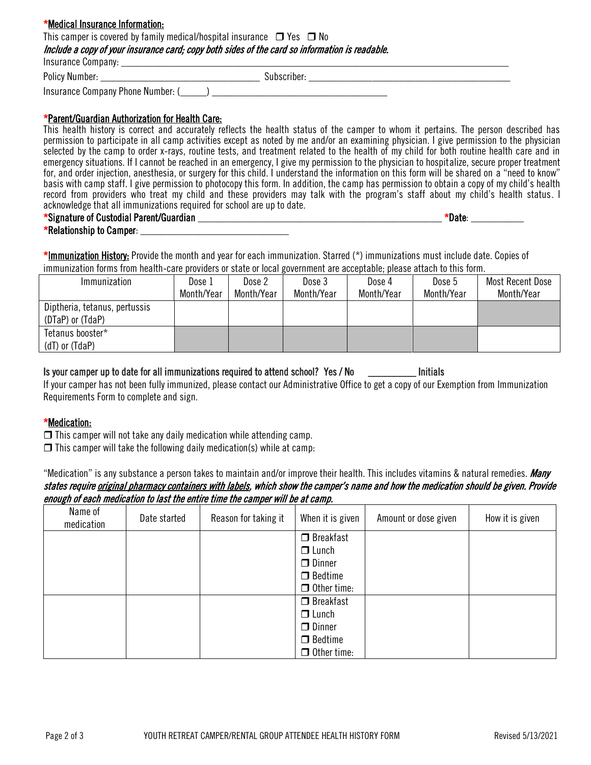| *Medical Insurance Information: |
|---------------------------------|
|---------------------------------|

| This camper is covered by family medical/hospital insurance $\Box$ Yes $\Box$ No               |  |
|------------------------------------------------------------------------------------------------|--|
| Include a copy of your insurance card; copy both sides of the card so information is readable. |  |

 Insurance Company: \_\_\_\_\_\_\_\_\_\_\_\_\_\_\_\_\_\_\_\_\_\_\_\_\_\_\_\_\_\_\_\_\_\_\_\_\_\_\_\_\_\_\_\_\_\_\_\_\_\_\_\_\_\_\_\_\_\_\_\_\_\_\_\_\_\_\_\_\_\_\_\_\_

Policy Number: \_\_\_\_\_\_\_\_\_\_\_\_\_\_\_\_\_\_\_\_\_\_\_\_\_\_\_\_\_\_ Subscriber: \_\_\_\_\_\_\_\_\_\_\_\_\_\_\_\_\_\_\_\_\_\_\_\_\_\_\_\_\_\_\_\_\_\_\_\_\_\_

Insurance Company Phone Number: (\_\_\_\_\_) \_\_\_\_\_\_\_\_\_\_\_\_\_\_\_\_\_\_\_\_\_\_\_\_\_\_\_\_\_\_\_\_\_

#### \*Parent/Guardian Authorization for Health Care:

This health history is correct and accurately reflects the health status of the camper to whom it pertains. The person described has permission to participate in all camp activities except as noted by me and/or an examining physician. I give permission to the physician selected by the camp to order x-rays, routine tests, and treatment related to the health of my child for both routine health care and in emergency situations. If I cannot be reached in an emergency, I give my permission to the physician to hospitalize, secure proper treatment for, and order injection, anesthesia, or surgery for this child. I understand the information on this form will be shared on a "need to know" basis with camp staff. I give permission to photocopy this form. In addition, the camp has permission to obtain a copy of my child's health record from providers who treat my child and these providers may talk with the program's staff about my child's health status. I acknowledge that all immunizations required for school are up to date.

#### \*Signature of Custodial Parent/Guardian \_\_\_\_\_\_\_\_\_\_\_\_\_\_\_\_\_\_\_\_\_\_\_\_\_\_\_\_\_\_\_\_\_\_\_\_\_\_\_\_\_\_\_\_\_\_ \*Date: \_\_\_\_\_\_\_\_\_\_

\*Relationship to Camper: \_\_\_\_\_\_\_\_\_\_\_\_\_\_\_\_\_\_\_\_\_\_\_\_\_\_\_\_

\*Immunization History: Provide the month and year for each immunization. Starred (\*) immunizations must include date. Copies of immunization forms from health-care providers or state or local government are acceptable; please attach to this form.

| miniamization formo from noatur oaro providere er etate er leear gevermient die deeeptdele, pledee attaell te thie ferm.<br>Immunization | Dose 1     | Dose 2     | Dose 3     | Dose 4     | Dose 5     | <b>Most Recent Dose</b> |
|------------------------------------------------------------------------------------------------------------------------------------------|------------|------------|------------|------------|------------|-------------------------|
|                                                                                                                                          | Month/Year | Month/Year | Month/Year | Month/Year | Month/Year | Month/Year              |
| Diptheria, tetanus, pertussis                                                                                                            |            |            |            |            |            |                         |
| (DTaP) or (TdaP)                                                                                                                         |            |            |            |            |            |                         |
| Tetanus booster*                                                                                                                         |            |            |            |            |            |                         |
| $(dT)$ or $(TdaP)$                                                                                                                       |            |            |            |            |            |                         |

### Is your camper up to date for all immunizations required to attend school? Yes / No \_\_\_\_\_\_\_\_\_ Initials

If your camper has not been fully immunized, please contact our Administrative Office to get a copy of our Exemption from Immunization Requirements Form to complete and sign.

#### \*Medication:

 $\Box$  This camper will not take any daily medication while attending camp.

 $\Box$  This camper will take the following daily medication(s) while at camp:

"Medication" is any substance a person takes to maintain and/or improve their health. This includes vitamins & natural remedies. Many states require original pharmacy containers with labels, which show the camper's name and how the medication should be given. Provide enough of each medication to last the entire time the camper will be at camp.

| Name of<br>medication | Date started | Reason for taking it | When it is given   | Amount or dose given | How it is given |
|-----------------------|--------------|----------------------|--------------------|----------------------|-----------------|
|                       |              |                      | $\Box$ Breakfast   |                      |                 |
|                       |              |                      | $\Box$ Lunch       |                      |                 |
|                       |              |                      | $\Box$ Dinner      |                      |                 |
|                       |              |                      | $\Box$ Bedtime     |                      |                 |
|                       |              |                      | $\Box$ Other time: |                      |                 |
|                       |              |                      | $\Box$ Breakfast   |                      |                 |
|                       |              |                      | $\Box$ Lunch       |                      |                 |
|                       |              |                      | $\Box$ Dinner      |                      |                 |
|                       |              |                      | $\Box$ Bedtime     |                      |                 |
|                       |              |                      | $\Box$ Other time: |                      |                 |